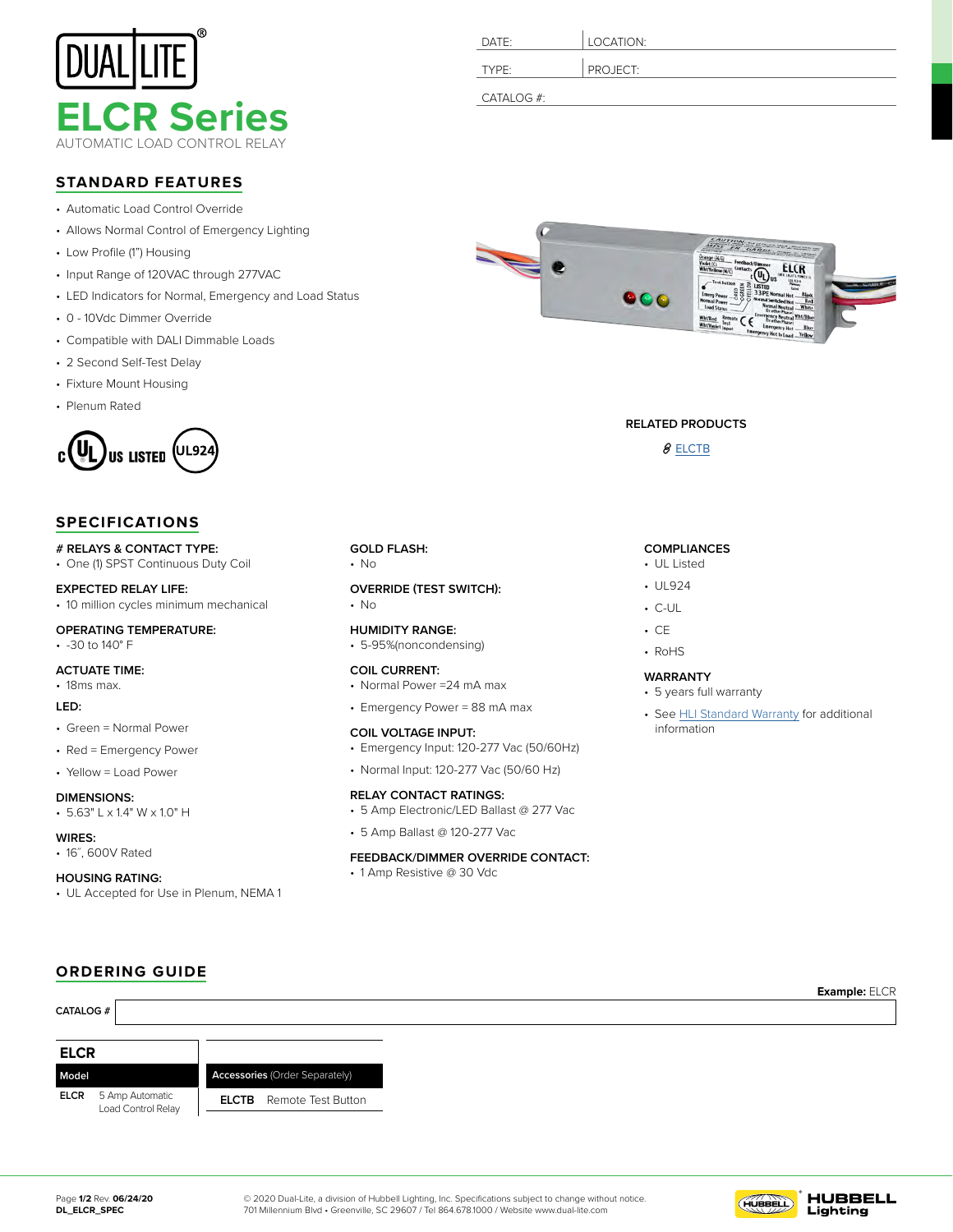

# **STANDARD FEATURES**

- Automatic Load Control Override
- Allows Normal Control of Emergency Lighting
- Low Profile (1") Housing
- Input Range of 120VAC through 277VAC
- LED Indicators for Normal, Emergency and Load Status
- 0 10Vdc Dimmer Override
- Compatible with DALI Dimmable Loads
- · 2 Second Self-Test Delay
	- Fixture Mount Housing
	- Plenum Rated



#### **SPECIFICATIONS** disclose. Reproduction, disclosure, or use of the document or its contents, FRACTIONS=±1/32 ANGULAR TOLERANCE=±1°

# # RELAYS & CONTACT TYPE:

• One (1) SPST Continuous Duty Coil

## **EXPECTED RELAY LIFE:**

• 10 million cycles minimum mechanical

### **OPERATING TEMPERATURE:**

• -30 to 140° F

### **ACTUATE TIME:**

• 18ms max.

#### **LED:**

- Green = Normal Power
- Red = Emergency Power
- Yellow = Load Power

### **DIMENSIONS:**

• 5.63" L x 1.4" W x 1.0" H

#### **WIRES:**

• 16˝, 600V Rated

### **HOUSING RATING:**

• UL Accepted for Use in Plenum, NEMA 1

| DATE:      | LOCATION: |
|------------|-----------|
| TYPE:      | PROJECT:  |
| CATALOG #: |           |



### **RELATED PRODUCTS**

**8** [ELCTB](https://www.hubbell.com/hubbelllightingci/en/c/ELCTB/p/5448662)

# **COMPLIANCES**

- UL Listed
- UL924
- C-UL
- CE
- RoHS

### **WARRANTY**

- 5 years full warranty
- See [HLI Standard Warranty](https://hubbellcdn.com/ohwassets/HLI/hli/resources/warranty/files/Dual-Lite%20Compass%20Limited%20Warranty_1_19.pdf) for additional information





**GOLD FLASH:** • No

**HUMIDITY RANGE:** • 5-95%(noncondensing)

**COIL CURRENT:**

#### **OVERRIDE (TEST SWITCH):** • No

• Normal Power =24 mA max • Emergency Power = 88 mA max

**RELAY CONTACT RATINGS:**

• 5 Amp Ballast @ 120-277 Vac

• 1 Amp Resistive @ 30 Vdc

• Emergency Input: 120-277 Vac (50/60Hz) • Normal Input: 120-277 Vac (50/60 Hz)

• 5 Amp Electronic/LED Ballast @ 277 Vac

**FEEDBACK/DIMMER OVERRIDE CONTACT:**

**COIL VOLTAGE INPUT:**